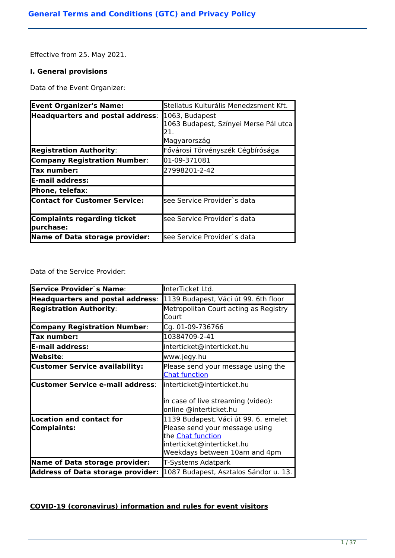Effective from 25. May 2021.

### **I. General provisions**

Data of the Event Organizer:

| <b>Event Organizer's Name:</b>                  | Stellatus Kulturális Menedzsment Kft.                                          |
|-------------------------------------------------|--------------------------------------------------------------------------------|
| Headquarters and postal address:                | 1063, Budapest<br>1063 Budapest, Színyei Merse Pál utca<br>21.<br>Magyarország |
| <b>Registration Authority:</b>                  | Fővárosi Törvényszék Cégbírósága                                               |
| <b>Company Registration Number:</b>             | 01-09-371081                                                                   |
| lTax number:                                    | 27998201-2-42                                                                  |
| E-mail address:                                 |                                                                                |
| Phone, telefax:                                 |                                                                                |
| Contact for Customer Service:                   | lsee Service Provider`s data                                                   |
| <b>Complaints regarding ticket</b><br>purchase: | lsee Service Provider`s data                                                   |
| Name of Data storage provider:                  | see Service Provider`s data                                                    |

Data of the Service Provider:

| <b>Service Provider's Name:</b>                       | InterTicket Ltd.                                                                                                                                           |
|-------------------------------------------------------|------------------------------------------------------------------------------------------------------------------------------------------------------------|
| <b>Headquarters and postal address:</b>               | 1139 Budapest, Váci út 99. 6th floor                                                                                                                       |
| <b>Registration Authority:</b>                        | Metropolitan Court acting as Registry<br>Court                                                                                                             |
| <b>Company Registration Number:</b>                   | Cg. 01-09-736766                                                                                                                                           |
| Tax number:                                           | 10384709-2-41                                                                                                                                              |
| <b>E-mail address:</b>                                | interticket@interticket.hu                                                                                                                                 |
| Website:                                              | www.jegy.hu                                                                                                                                                |
| <b>Customer Service availability:</b>                 | Please send your message using the<br><b>Chat function</b>                                                                                                 |
| <b>Customer Service e-mail address:</b>               | interticket@interticket.hu<br>in case of live streaming (video):<br>online @interticket.hu                                                                 |
| <b>Location and contact for</b><br><b>Complaints:</b> | 1139 Budapest, Váci út 99. 6. emelet<br>Please send your message using<br>the Chat function<br>interticket@interticket.hu<br>Weekdays between 10am and 4pm |
| <b>Name of Data storage provider:</b>                 | T-Systems Adatpark                                                                                                                                         |
| <b>Address of Data storage provider:</b>              | 1087 Budapest, Asztalos Sándor u. 13.                                                                                                                      |

# **COVID-19 (coronavirus) information and rules for event visitors**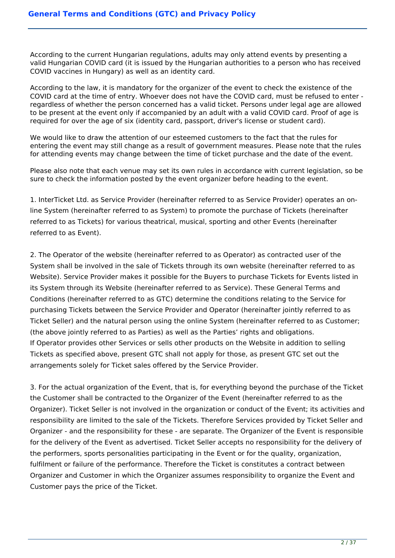According to the current Hungarian regulations, adults may only attend events by presenting a valid Hungarian COVID card (it is issued by the Hungarian authorities to a person who has received COVID vaccines in Hungary) as well as an identity card.

According to the law, it is mandatory for the organizer of the event to check the existence of the COVID card at the time of entry. Whoever does not have the COVID card, must be refused to enter regardless of whether the person concerned has a valid ticket. Persons under legal age are allowed to be present at the event only if accompanied by an adult with a valid COVID card. Proof of age is required for over the age of six (identity card, passport, driver's license or student card).

We would like to draw the attention of our esteemed customers to the fact that the rules for entering the event may still change as a result of government measures. Please note that the rules for attending events may change between the time of ticket purchase and the date of the event.

Please also note that each venue may set its own rules in accordance with current legislation, so be sure to check the information posted by the event organizer before heading to the event.

1. InterTicket Ltd. as Service Provider (hereinafter referred to as Service Provider) operates an online System (hereinafter referred to as System) to promote the purchase of Tickets (hereinafter referred to as Tickets) for various theatrical, musical, sporting and other Events (hereinafter referred to as Event).

2. The Operator of the website (hereinafter referred to as Operator) as contracted user of the System shall be involved in the sale of Tickets through its own website (hereinafter referred to as Website). Service Provider makes it possible for the Buyers to purchase Tickets for Events listed in its System through its Website (hereinafter referred to as Service). These General Terms and Conditions (hereinafter referred to as GTC) determine the conditions relating to the Service for purchasing Tickets between the Service Provider and Operator (hereinafter jointly referred to as Ticket Seller) and the natural person using the online System (hereinafter referred to as Customer; (the above jointly referred to as Parties) as well as the Parties' rights and obligations. If Operator provides other Services or sells other products on the Website in addition to selling Tickets as specified above, present GTC shall not apply for those, as present GTC set out the arrangements solely for Ticket sales offered by the Service Provider.

3. For the actual organization of the Event, that is, for everything beyond the purchase of the Ticket the Customer shall be contracted to the Organizer of the Event (hereinafter referred to as the Organizer). Ticket Seller is not involved in the organization or conduct of the Event; its activities and responsibility are limited to the sale of the Tickets. Therefore Services provided by Ticket Seller and Organizer - and the responsibility for these - are separate. The Organizer of the Event is responsible for the delivery of the Event as advertised. Ticket Seller accepts no responsibility for the delivery of the performers, sports personalities participating in the Event or for the quality, organization, fulfilment or failure of the performance. Therefore the Ticket is constitutes a contract between Organizer and Customer in which the Organizer assumes responsibility to organize the Event and Customer pays the price of the Ticket.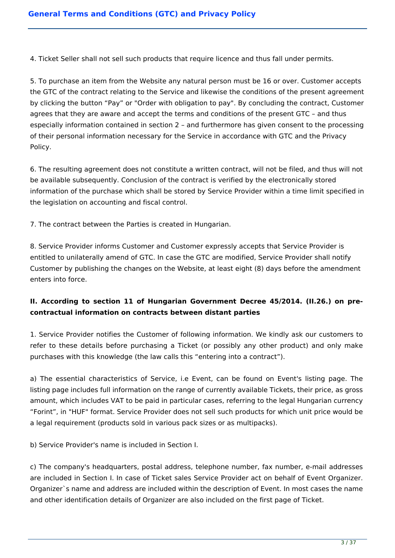4. Ticket Seller shall not sell such products that require licence and thus fall under permits.

5. To purchase an item from the Website any natural person must be 16 or over. Customer accepts the GTC of the contract relating to the Service and likewise the conditions of the present agreement by clicking the button "Pay" or "Order with obligation to pay". By concluding the contract, Customer agrees that they are aware and accept the terms and conditions of the present GTC – and thus especially information contained in section 2 – and furthermore has given consent to the processing of their personal information necessary for the Service in accordance with GTC and the Privacy Policy.

6. The resulting agreement does not constitute a written contract, will not be filed, and thus will not be available subsequently. Conclusion of the contract is verified by the electronically stored information of the purchase which shall be stored by Service Provider within a time limit specified in the legislation on accounting and fiscal control.

7. The contract between the Parties is created in Hungarian.

8. Service Provider informs Customer and Customer expressly accepts that Service Provider is entitled to unilaterally amend of GTC. In case the GTC are modified, Service Provider shall notify Customer by publishing the changes on the Website, at least eight (8) days before the amendment enters into force.

# **II. According to section 11 of Hungarian Government Decree 45/2014. (II.26.) on precontractual information on contracts between distant parties**

1. Service Provider notifies the Customer of following information. We kindly ask our customers to refer to these details before purchasing a Ticket (or possibly any other product) and only make purchases with this knowledge (the law calls this "entering into a contract").

a) The essential characteristics of Service, i.e Event, can be found on Event's listing page. The listing page includes full information on the range of currently available Tickets, their price, as gross amount, which includes VAT to be paid in particular cases, referring to the legal Hungarian currency "Forint", in "HUF" format. Service Provider does not sell such products for which unit price would be a legal requirement (products sold in various pack sizes or as multipacks).

b) Service Provider's name is included in Section I.

c) The company's headquarters, postal address, telephone number, fax number, e-mail addresses are included in Section I. In case of Ticket sales Service Provider act on behalf of Event Organizer. Organizer`s name and address are included within the description of Event. In most cases the name and other identification details of Organizer are also included on the first page of Ticket.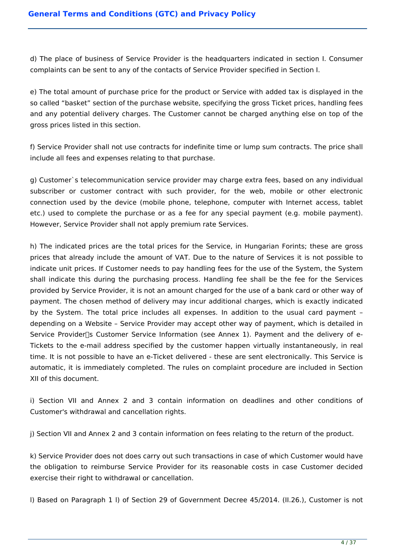d) The place of business of Service Provider is the headquarters indicated in section I. Consumer complaints can be sent to any of the contacts of Service Provider specified in Section I.

e) The total amount of purchase price for the product or Service with added tax is displayed in the so called "basket" section of the purchase website, specifying the gross Ticket prices, handling fees and any potential delivery charges. The Customer cannot be charged anything else on top of the gross prices listed in this section.

f) Service Provider shall not use contracts for indefinite time or lump sum contracts. The price shall include all fees and expenses relating to that purchase.

g) Customer`s telecommunication service provider may charge extra fees, based on any individual subscriber or customer contract with such provider, for the web, mobile or other electronic connection used by the device (mobile phone, telephone, computer with Internet access, tablet etc.) used to complete the purchase or as a fee for any special payment (e.g. mobile payment). However, Service Provider shall not apply premium rate Services.

h) The indicated prices are the total prices for the Service, in Hungarian Forints; these are gross prices that already include the amount of VAT. Due to the nature of Services it is not possible to indicate unit prices. If Customer needs to pay handling fees for the use of the System, the System shall indicate this during the purchasing process. Handling fee shall be the fee for the Services provided by Service Provider, it is not an amount charged for the use of a bank card or other way of payment. The chosen method of delivery may incur additional charges, which is exactly indicated by the System. The total price includes all expenses. In addition to the usual card payment – depending on a Website – Service Provider may accept other way of payment, which is detailed in Service Provider<sup>1</sup>s Customer Service Information (see Annex 1). Payment and the delivery of e-Tickets to the e-mail address specified by the customer happen virtually instantaneously, in real time. It is not possible to have an e-Ticket delivered - these are sent electronically. This Service is automatic, it is immediately completed. The rules on complaint procedure are included in Section XII of this document.

i) Section VII and Annex 2 and 3 contain information on deadlines and other conditions of Customer's withdrawal and cancellation rights.

j) Section VII and Annex 2 and 3 contain information on fees relating to the return of the product.

k) Service Provider does not does carry out such transactions in case of which Customer would have the obligation to reimburse Service Provider for its reasonable costs in case Customer decided exercise their right to withdrawal or cancellation.

l) Based on Paragraph 1 l) of Section 29 of Government Decree 45/2014. (II.26.), Customer is not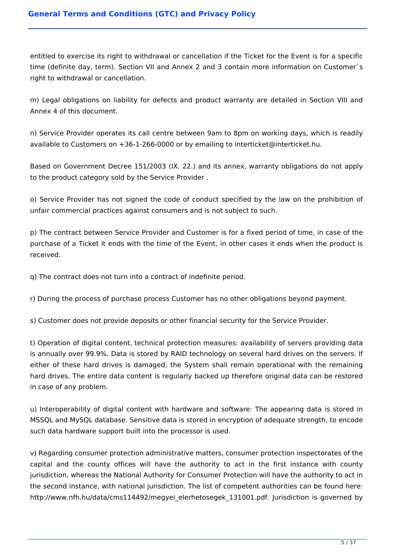entitled to exercise its right to withdrawal or cancellation if the Ticket for the Event is for a specific time (definite day, term). Section VII and Annex 2 and 3 contain more information on Customer`s right to withdrawal or cancellation.

m) Legal obligations on liability for defects and product warranty are detailed in Section VIII and Annex 4 of this document.

n) Service Provider operates its call centre between 9am to 8pm on working days, which is readily available to Customers on +36-1-266-0000 or by emailing to interticket@interticket.hu.

Based on Government Decree 151/2003 (IX. 22.) and its annex, warranty obligations do not apply to the product category sold by the Service Provider .

o) Service Provider has not signed the code of conduct specified by the law on the prohibition of unfair commercial practices against consumers and is not subject to such.

p) The contract between Service Provider and Customer is for a fixed period of time, in case of the purchase of a Ticket it ends with the time of the Event, in other cases it ends when the product is received.

q) The contract does not turn into a contract of indefinite period.

r) During the process of purchase process Customer has no other obligations beyond payment.

s) Customer does not provide deposits or other financial security for the Service Provider.

t) Operation of digital content, technical protection measures: availability of servers providing data is annually over 99.9%. Data is stored by RAID technology on several hard drives on the servers. If either of these hard drives is damaged, the System shall remain operational with the remaining hard drives. The entire data content is regularly backed up therefore original data can be restored in case of any problem.

u) Interoperability of digital content with hardware and software: The appearing data is stored in MSSQL and MySQL database. Sensitive data is stored in encryption of adequate strength, to encode such data hardware support built into the processor is used.

v) Regarding consumer protection administrative matters, consumer protection inspectorates of the capital and the county offices will have the authority to act in the first instance with county jurisdiction, whereas the National Authority for Consumer Protection will have the authority to act in the second instance, with national jurisdiction. The list of competent authorities can be found here: http://www.nfh.hu/data/cms114492/megyei\_elerhetosegek\_131001.pdf. Jurisdiction is governed by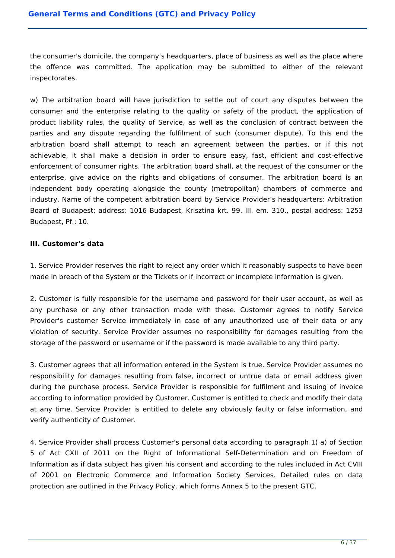the consumer's domicile, the company's headquarters, place of business as well as the place where the offence was committed. The application may be submitted to either of the relevant inspectorates.

w) The arbitration board will have jurisdiction to settle out of court any disputes between the consumer and the enterprise relating to the quality or safety of the product, the application of product liability rules, the quality of Service, as well as the conclusion of contract between the parties and any dispute regarding the fulfilment of such (consumer dispute). To this end the arbitration board shall attempt to reach an agreement between the parties, or if this not achievable, it shall make a decision in order to ensure easy, fast, efficient and cost-effective enforcement of consumer rights. The arbitration board shall, at the request of the consumer or the enterprise, give advice on the rights and obligations of consumer. The arbitration board is an independent body operating alongside the county (metropolitan) chambers of commerce and industry. Name of the competent arbitration board by Service Provider's headquarters: Arbitration Board of Budapest; address: 1016 Budapest, Krisztina krt. 99. III. em. 310., postal address: 1253 Budapest, Pf.: 10.

# **III. Customer's data**

1. Service Provider reserves the right to reject any order which it reasonably suspects to have been made in breach of the System or the Tickets or if incorrect or incomplete information is given.

2. Customer is fully responsible for the username and password for their user account, as well as any purchase or any other transaction made with these. Customer agrees to notify Service Provider's customer Service immediately in case of any unauthorized use of their data or any violation of security. Service Provider assumes no responsibility for damages resulting from the storage of the password or username or if the password is made available to any third party.

3. Customer agrees that all information entered in the System is true. Service Provider assumes no responsibility for damages resulting from false, incorrect or untrue data or email address given during the purchase process. Service Provider is responsible for fulfilment and issuing of invoice according to information provided by Customer. Customer is entitled to check and modify their data at any time. Service Provider is entitled to delete any obviously faulty or false information, and verify authenticity of Customer.

4. Service Provider shall process Customer's personal data according to paragraph 1) a) of Section 5 of Act CXII of 2011 on the Right of Informational Self-Determination and on Freedom of Information as if data subject has given his consent and according to the rules included in Act CVIII of 2001 on Electronic Commerce and Information Society Services. Detailed rules on data protection are outlined in the Privacy Policy, which forms Annex 5 to the present GTC.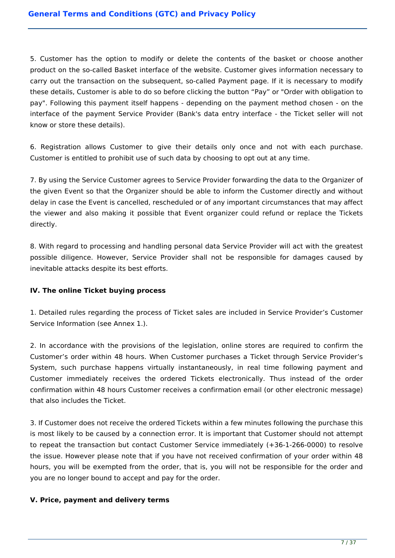5. Customer has the option to modify or delete the contents of the basket or choose another product on the so-called Basket interface of the website. Customer gives information necessary to carry out the transaction on the subsequent, so-called Payment page. If it is necessary to modify these details, Customer is able to do so before clicking the button "Pay" or "Order with obligation to pay". Following this payment itself happens - depending on the payment method chosen - on the interface of the payment Service Provider (Bank's data entry interface - the Ticket seller will not know or store these details).

6. Registration allows Customer to give their details only once and not with each purchase. Customer is entitled to prohibit use of such data by choosing to opt out at any time.

7. By using the Service Customer agrees to Service Provider forwarding the data to the Organizer of the given Event so that the Organizer should be able to inform the Customer directly and without delay in case the Event is cancelled, rescheduled or of any important circumstances that may affect the viewer and also making it possible that Event organizer could refund or replace the Tickets directly.

8. With regard to processing and handling personal data Service Provider will act with the greatest possible diligence. However, Service Provider shall not be responsible for damages caused by inevitable attacks despite its best efforts.

# **IV. The online Ticket buying process**

1. Detailed rules regarding the process of Ticket sales are included in Service Provider's Customer Service Information (see Annex 1.).

2. In accordance with the provisions of the legislation, online stores are required to confirm the Customer's order within 48 hours. When Customer purchases a Ticket through Service Provider's System, such purchase happens virtually instantaneously, in real time following payment and Customer immediately receives the ordered Tickets electronically. Thus instead of the order confirmation within 48 hours Customer receives a confirmation email (or other electronic message) that also includes the Ticket.

3. If Customer does not receive the ordered Tickets within a few minutes following the purchase this is most likely to be caused by a connection error. It is important that Customer should not attempt to repeat the transaction but contact Customer Service immediately (+36-1-266-0000) to resolve the issue. However please note that if you have not received confirmation of your order within 48 hours, you will be exempted from the order, that is, you will not be responsible for the order and you are no longer bound to accept and pay for the order.

### **V. Price, payment and delivery terms**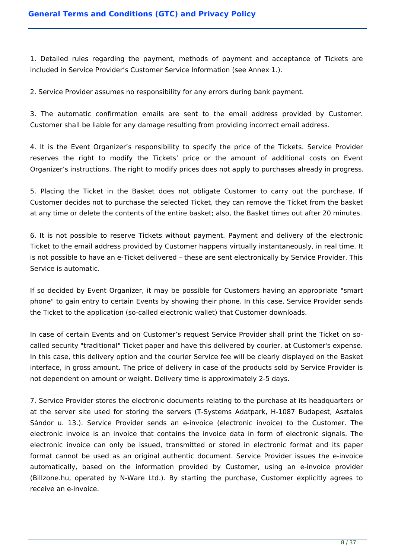1. Detailed rules regarding the payment, methods of payment and acceptance of Tickets are included in Service Provider's Customer Service Information (see Annex 1.).

2. Service Provider assumes no responsibility for any errors during bank payment.

3. The automatic confirmation emails are sent to the email address provided by Customer. Customer shall be liable for any damage resulting from providing incorrect email address.

4. It is the Event Organizer's responsibility to specify the price of the Tickets. Service Provider reserves the right to modify the Tickets' price or the amount of additional costs on Event Organizer's instructions. The right to modify prices does not apply to purchases already in progress.

5. Placing the Ticket in the Basket does not obligate Customer to carry out the purchase. If Customer decides not to purchase the selected Ticket, they can remove the Ticket from the basket at any time or delete the contents of the entire basket; also, the Basket times out after 20 minutes.

6. It is not possible to reserve Tickets without payment. Payment and delivery of the electronic Ticket to the email address provided by Customer happens virtually instantaneously, in real time. It is not possible to have an e-Ticket delivered – these are sent electronically by Service Provider. This Service is automatic.

If so decided by Event Organizer, it may be possible for Customers having an appropriate "smart phone" to gain entry to certain Events by showing their phone. In this case, Service Provider sends the Ticket to the application (so-called electronic wallet) that Customer downloads.

In case of certain Events and on Customer's request Service Provider shall print the Ticket on socalled security "traditional" Ticket paper and have this delivered by courier, at Customer's expense. In this case, this delivery option and the courier Service fee will be clearly displayed on the Basket interface, in gross amount. The price of delivery in case of the products sold by Service Provider is not dependent on amount or weight. Delivery time is approximately 2-5 days.

7. Service Provider stores the electronic documents relating to the purchase at its headquarters or at the server site used for storing the servers (T-Systems Adatpark, H-1087 Budapest, Asztalos Sándor u. 13.). Service Provider sends an e-invoice (electronic invoice) to the Customer. The electronic invoice is an invoice that contains the invoice data in form of electronic signals. The electronic invoice can only be issued, transmitted or stored in electronic format and its paper format cannot be used as an original authentic document. Service Provider issues the e-invoice automatically, based on the information provided by Customer, using an e-invoice provider (Billzone.hu, operated by N-Ware Ltd.). By starting the purchase, Customer explicitly agrees to receive an e-invoice.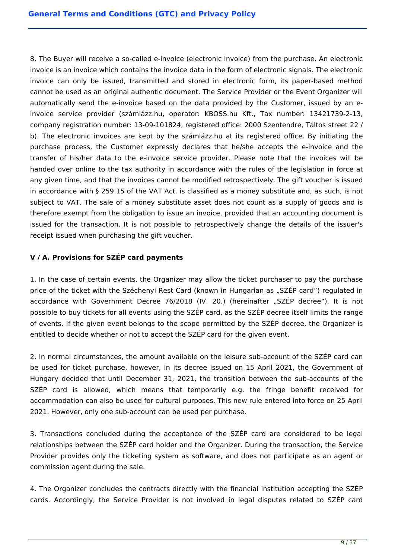8. The Buyer will receive a so-called e-invoice (electronic invoice) from the purchase. An electronic invoice is an invoice which contains the invoice data in the form of electronic signals. The electronic invoice can only be issued, transmitted and stored in electronic form, its paper-based method cannot be used as an original authentic document. The Service Provider or the Event Organizer will automatically send the e-invoice based on the data provided by the Customer, issued by an einvoice service provider (számlázz.hu, operator: KBOSS.hu Kft., Tax number: 13421739-2-13, company registration number: 13-09-101824, registered office: 2000 Szentendre, Táltos street 22 / b). The electronic invoices are kept by the számlázz.hu at its registered office. By initiating the purchase process, the Customer expressly declares that he/she accepts the e-invoice and the transfer of his/her data to the e-invoice service provider. Please note that the invoices will be handed over online to the tax authority in accordance with the rules of the legislation in force at any given time, and that the invoices cannot be modified retrospectively. The gift voucher is issued in accordance with § 259.15 of the VAT Act. is classified as a money substitute and, as such, is not subject to VAT. The sale of a money substitute asset does not count as a supply of goods and is therefore exempt from the obligation to issue an invoice, provided that an accounting document is issued for the transaction. It is not possible to retrospectively change the details of the issuer's receipt issued when purchasing the gift voucher.

# **V / A. Provisions for SZÉP card payments**

1. In the case of certain events, the Organizer may allow the ticket purchaser to pay the purchase price of the ticket with the Széchenyi Rest Card (known in Hungarian as "SZÉP card") regulated in accordance with Government Decree 76/2018 (IV. 20.) (hereinafter "SZÉP decree"). It is not possible to buy tickets for all events using the SZÉP card, as the SZÉP decree itself limits the range of events. If the given event belongs to the scope permitted by the SZÉP decree, the Organizer is entitled to decide whether or not to accept the SZÉP card for the given event.

2. In normal circumstances, the amount available on the leisure sub-account of the SZÉP card can be used for ticket purchase, however, in its decree issued on 15 April 2021, the Government of Hungary decided that until December 31, 2021, the transition between the sub-accounts of the SZÉP card is allowed, which means that temporarily e.g. the fringe benefit received for accommodation can also be used for cultural purposes. This new rule entered into force on 25 April 2021. However, only one sub-account can be used per purchase.

3. Transactions concluded during the acceptance of the SZÉP card are considered to be legal relationships between the SZÉP card holder and the Organizer. During the transaction, the Service Provider provides only the ticketing system as software, and does not participate as an agent or commission agent during the sale.

4. The Organizer concludes the contracts directly with the financial institution accepting the SZÉP cards. Accordingly, the Service Provider is not involved in legal disputes related to SZÉP card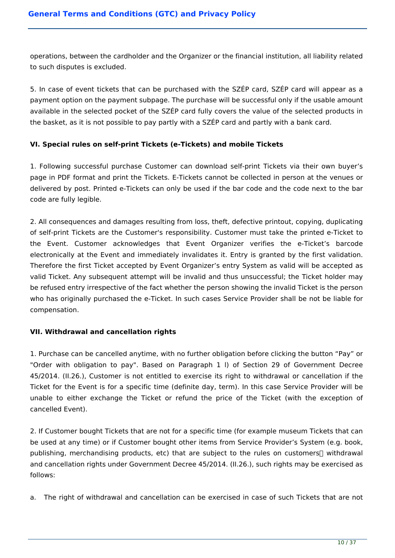operations, between the cardholder and the Organizer or the financial institution, all liability related to such disputes is excluded.

5. In case of event tickets that can be purchased with the SZÉP card, SZÉP card will appear as a payment option on the payment subpage. The purchase will be successful only if the usable amount available in the selected pocket of the SZÉP card fully covers the value of the selected products in the basket, as it is not possible to pay partly with a SZÉP card and partly with a bank card.

# **VI. Special rules on self-print Tickets (e-Tickets) and mobile Tickets**

1. Following successful purchase Customer can download self-print Tickets via their own buyer's page in PDF format and print the Tickets. E-Tickets cannot be collected in person at the venues or delivered by post. Printed e-Tickets can only be used if the bar code and the code next to the bar code are fully legible.

2. All consequences and damages resulting from loss, theft, defective printout, copying, duplicating of self-print Tickets are the Customer's responsibility. Customer must take the printed e-Ticket to the Event. Customer acknowledges that Event Organizer verifies the e-Ticket's barcode electronically at the Event and immediately invalidates it. Entry is granted by the first validation. Therefore the first Ticket accepted by Event Organizer's entry System as valid will be accepted as valid Ticket. Any subsequent attempt will be invalid and thus unsuccessful; the Ticket holder may be refused entry irrespective of the fact whether the person showing the invalid Ticket is the person who has originally purchased the e-Ticket. In such cases Service Provider shall be not be liable for compensation.

### **VII. Withdrawal and cancellation rights**

1. Purchase can be cancelled anytime, with no further obligation before clicking the button "Pay" or "Order with obligation to pay". Based on Paragraph 1 l) of Section 29 of Government Decree 45/2014. (II.26.), Customer is not entitled to exercise its right to withdrawal or cancellation if the Ticket for the Event is for a specific time (definite day, term). In this case Service Provider will be unable to either exchange the Ticket or refund the price of the Ticket (with the exception of cancelled Event).

2. If Customer bought Tickets that are not for a specific time (for example museum Tickets that can be used at any time) or if Customer bought other items from Service Provider's System (e.g. book, publishing, merchandising products, etc) that are subject to the rules on customers $\Box$  withdrawal and cancellation rights under Government Decree 45/2014. (II.26.), such rights may be exercised as follows:

a. The right of withdrawal and cancellation can be exercised in case of such Tickets that are not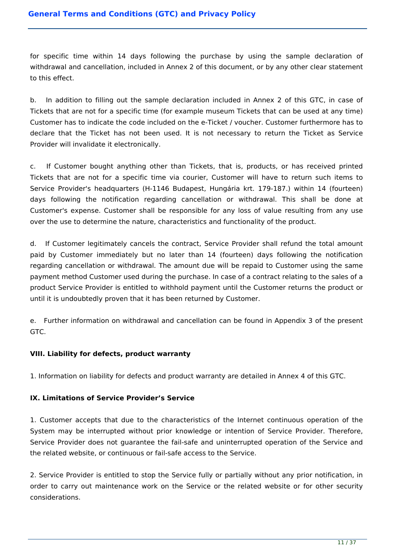for specific time within 14 days following the purchase by using the sample declaration of withdrawal and cancellation, included in Annex 2 of this document, or by any other clear statement to this effect.

b. In addition to filling out the sample declaration included in Annex 2 of this GTC, in case of Tickets that are not for a specific time (for example museum Tickets that can be used at any time) Customer has to indicate the code included on the e-Ticket / voucher. Customer furthermore has to declare that the Ticket has not been used. It is not necessary to return the Ticket as Service Provider will invalidate it electronically.

c. If Customer bought anything other than Tickets, that is, products, or has received printed Tickets that are not for a specific time via courier, Customer will have to return such items to Service Provider's headquarters (H-1146 Budapest, Hungária krt. 179-187.) within 14 (fourteen) days following the notification regarding cancellation or withdrawal. This shall be done at Customer's expense. Customer shall be responsible for any loss of value resulting from any use over the use to determine the nature, characteristics and functionality of the product.

d. If Customer legitimately cancels the contract, Service Provider shall refund the total amount paid by Customer immediately but no later than 14 (fourteen) days following the notification regarding cancellation or withdrawal. The amount due will be repaid to Customer using the same payment method Customer used during the purchase. In case of a contract relating to the sales of a product Service Provider is entitled to withhold payment until the Customer returns the product or until it is undoubtedly proven that it has been returned by Customer.

e. Further information on withdrawal and cancellation can be found in Appendix 3 of the present GTC.

# **VIII. Liability for defects, product warranty**

1. Information on liability for defects and product warranty are detailed in Annex 4 of this GTC.

### **IX. Limitations of Service Provider's Service**

1. Customer accepts that due to the characteristics of the Internet continuous operation of the System may be interrupted without prior knowledge or intention of Service Provider. Therefore, Service Provider does not guarantee the fail-safe and uninterrupted operation of the Service and the related website, or continuous or fail-safe access to the Service.

2. Service Provider is entitled to stop the Service fully or partially without any prior notification, in order to carry out maintenance work on the Service or the related website or for other security considerations.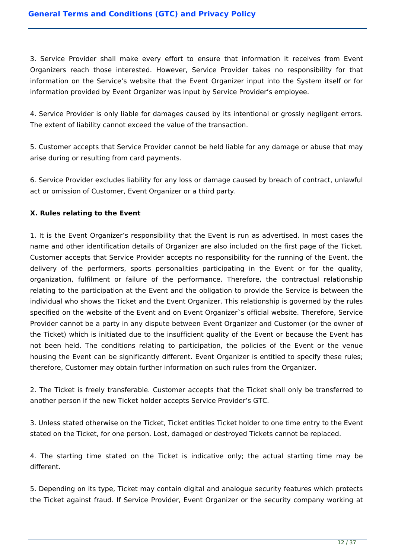3. Service Provider shall make every effort to ensure that information it receives from Event Organizers reach those interested. However, Service Provider takes no responsibility for that information on the Service's website that the Event Organizer input into the System itself or for information provided by Event Organizer was input by Service Provider's employee.

4. Service Provider is only liable for damages caused by its intentional or grossly negligent errors. The extent of liability cannot exceed the value of the transaction.

5. Customer accepts that Service Provider cannot be held liable for any damage or abuse that may arise during or resulting from card payments.

6. Service Provider excludes liability for any loss or damage caused by breach of contract, unlawful act or omission of Customer, Event Organizer or a third party.

## **X. Rules relating to the Event**

1. It is the Event Organizer's responsibility that the Event is run as advertised. In most cases the name and other identification details of Organizer are also included on the first page of the Ticket. Customer accepts that Service Provider accepts no responsibility for the running of the Event, the delivery of the performers, sports personalities participating in the Event or for the quality, organization, fulfilment or failure of the performance. Therefore, the contractual relationship relating to the participation at the Event and the obligation to provide the Service is between the individual who shows the Ticket and the Event Organizer. This relationship is governed by the rules specified on the website of the Event and on Event Organizer`s official website. Therefore, Service Provider cannot be a party in any dispute between Event Organizer and Customer (or the owner of the Ticket) which is initiated due to the insufficient quality of the Event or because the Event has not been held. The conditions relating to participation, the policies of the Event or the venue housing the Event can be significantly different. Event Organizer is entitled to specify these rules; therefore, Customer may obtain further information on such rules from the Organizer.

2. The Ticket is freely transferable. Customer accepts that the Ticket shall only be transferred to another person if the new Ticket holder accepts Service Provider's GTC.

3. Unless stated otherwise on the Ticket, Ticket entitles Ticket holder to one time entry to the Event stated on the Ticket, for one person. Lost, damaged or destroyed Tickets cannot be replaced.

4. The starting time stated on the Ticket is indicative only; the actual starting time may be different.

5. Depending on its type, Ticket may contain digital and analogue security features which protects the Ticket against fraud. If Service Provider, Event Organizer or the security company working at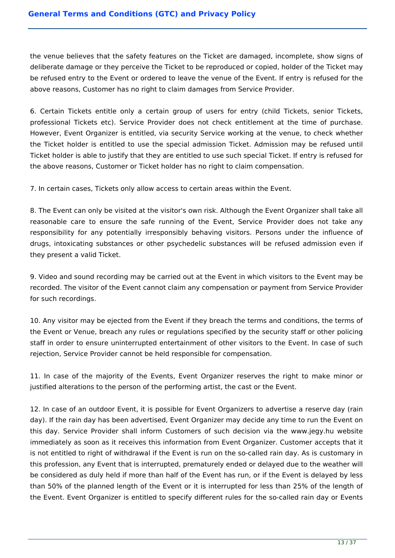the venue believes that the safety features on the Ticket are damaged, incomplete, show signs of deliberate damage or they perceive the Ticket to be reproduced or copied, holder of the Ticket may be refused entry to the Event or ordered to leave the venue of the Event. If entry is refused for the above reasons, Customer has no right to claim damages from Service Provider.

6. Certain Tickets entitle only a certain group of users for entry (child Tickets, senior Tickets, professional Tickets etc). Service Provider does not check entitlement at the time of purchase. However, Event Organizer is entitled, via security Service working at the venue, to check whether the Ticket holder is entitled to use the special admission Ticket. Admission may be refused until Ticket holder is able to justify that they are entitled to use such special Ticket. If entry is refused for the above reasons, Customer or Ticket holder has no right to claim compensation.

7. In certain cases, Tickets only allow access to certain areas within the Event.

8. The Event can only be visited at the visitor's own risk. Although the Event Organizer shall take all reasonable care to ensure the safe running of the Event, Service Provider does not take any responsibility for any potentially irresponsibly behaving visitors. Persons under the influence of drugs, intoxicating substances or other psychedelic substances will be refused admission even if they present a valid Ticket.

9. Video and sound recording may be carried out at the Event in which visitors to the Event may be recorded. The visitor of the Event cannot claim any compensation or payment from Service Provider for such recordings.

10. Any visitor may be ejected from the Event if they breach the terms and conditions, the terms of the Event or Venue, breach any rules or regulations specified by the security staff or other policing staff in order to ensure uninterrupted entertainment of other visitors to the Event. In case of such rejection, Service Provider cannot be held responsible for compensation.

11. In case of the majority of the Events, Event Organizer reserves the right to make minor or justified alterations to the person of the performing artist, the cast or the Event.

12. In case of an outdoor Event, it is possible for Event Organizers to advertise a reserve day (rain day). If the rain day has been advertised, Event Organizer may decide any time to run the Event on this day. Service Provider shall inform Customers of such decision via the www.jegy.hu website immediately as soon as it receives this information from Event Organizer. Customer accepts that it is not entitled to right of withdrawal if the Event is run on the so-called rain day. As is customary in this profession, any Event that is interrupted, prematurely ended or delayed due to the weather will be considered as duly held if more than half of the Event has run, or if the Event is delayed by less than 50% of the planned length of the Event or it is interrupted for less than 25% of the length of the Event. Event Organizer is entitled to specify different rules for the so-called rain day or Events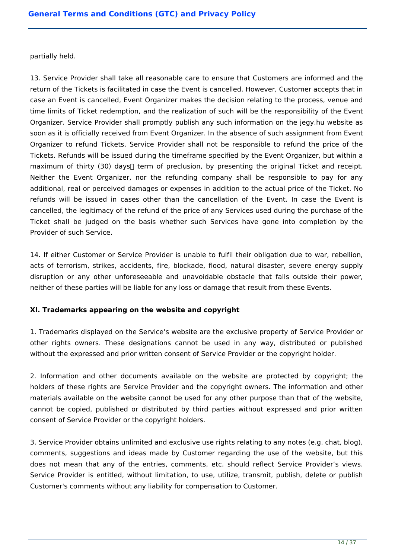partially held.

13. Service Provider shall take all reasonable care to ensure that Customers are informed and the return of the Tickets is facilitated in case the Event is cancelled. However, Customer accepts that in case an Event is cancelled, Event Organizer makes the decision relating to the process, venue and time limits of Ticket redemption, and the realization of such will be the responsibility of the Event Organizer. Service Provider shall promptly publish any such information on the jegy.hu website as soon as it is officially received from Event Organizer. In the absence of such assignment from Event Organizer to refund Tickets, Service Provider shall not be responsible to refund the price of the Tickets. Refunds will be issued during the timeframe specified by the Event Organizer, but within a maximum of thirty (30) days $\Box$  term of preclusion, by presenting the original Ticket and receipt. Neither the Event Organizer, nor the refunding company shall be responsible to pay for any additional, real or perceived damages or expenses in addition to the actual price of the Ticket. No refunds will be issued in cases other than the cancellation of the Event. In case the Event is cancelled, the legitimacy of the refund of the price of any Services used during the purchase of the Ticket shall be judged on the basis whether such Services have gone into completion by the Provider of such Service.

14. If either Customer or Service Provider is unable to fulfil their obligation due to war, rebellion, acts of terrorism, strikes, accidents, fire, blockade, flood, natural disaster, severe energy supply disruption or any other unforeseeable and unavoidable obstacle that falls outside their power, neither of these parties will be liable for any loss or damage that result from these Events.

# **XI. Trademarks appearing on the website and copyright**

1. Trademarks displayed on the Service's website are the exclusive property of Service Provider or other rights owners. These designations cannot be used in any way, distributed or published without the expressed and prior written consent of Service Provider or the copyright holder.

2. Information and other documents available on the website are protected by copyright; the holders of these rights are Service Provider and the copyright owners. The information and other materials available on the website cannot be used for any other purpose than that of the website, cannot be copied, published or distributed by third parties without expressed and prior written consent of Service Provider or the copyright holders.

3. Service Provider obtains unlimited and exclusive use rights relating to any notes (e.g. chat, blog), comments, suggestions and ideas made by Customer regarding the use of the website, but this does not mean that any of the entries, comments, etc. should reflect Service Provider's views. Service Provider is entitled, without limitation, to use, utilize, transmit, publish, delete or publish Customer's comments without any liability for compensation to Customer.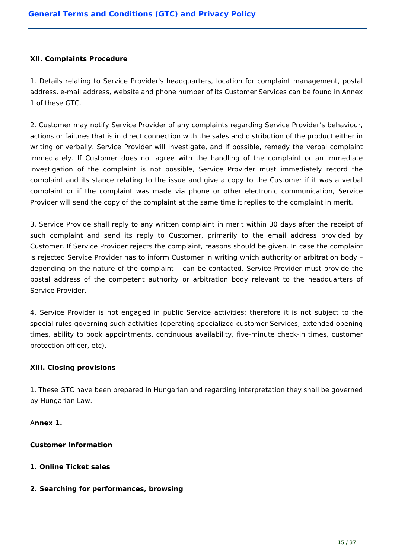### **XII. Complaints Procedure**

1. Details relating to Service Provider's headquarters, location for complaint management, postal address, e-mail address, website and phone number of its Customer Services can be found in Annex 1 of these GTC.

2. Customer may notify Service Provider of any complaints regarding Service Provider's behaviour, actions or failures that is in direct connection with the sales and distribution of the product either in writing or verbally. Service Provider will investigate, and if possible, remedy the verbal complaint immediately. If Customer does not agree with the handling of the complaint or an immediate investigation of the complaint is not possible, Service Provider must immediately record the complaint and its stance relating to the issue and give a copy to the Customer if it was a verbal complaint or if the complaint was made via phone or other electronic communication, Service Provider will send the copy of the complaint at the same time it replies to the complaint in merit.

3. Service Provide shall reply to any written complaint in merit within 30 days after the receipt of such complaint and send its reply to Customer, primarily to the email address provided by Customer. If Service Provider rejects the complaint, reasons should be given. In case the complaint is rejected Service Provider has to inform Customer in writing which authority or arbitration body – depending on the nature of the complaint – can be contacted. Service Provider must provide the postal address of the competent authority or arbitration body relevant to the headquarters of Service Provider.

4. Service Provider is not engaged in public Service activities; therefore it is not subject to the special rules governing such activities (operating specialized customer Services, extended opening times, ability to book appointments, continuous availability, five-minute check-in times, customer protection officer, etc).

### **XIII. Closing provisions**

1. These GTC have been prepared in Hungarian and regarding interpretation they shall be governed by Hungarian Law.

A**nnex 1.**

# **Customer Information**

# **1. Online Ticket sales**

### **2. Searching for performances, browsing**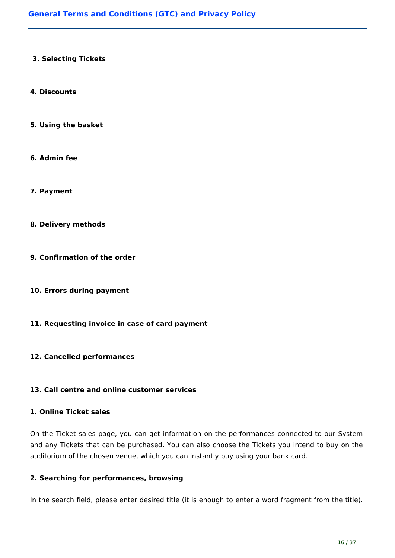### **3. Selecting Tickets**

#### **4. Discounts**

- **5. Using the basket**
- **6. Admin fee**
- **7. Payment**
- **8. Delivery methods**
- **9. Confirmation of the order**
- **10. Errors during payment**
- **11. Requesting invoice in case of card payment**

### **12. Cancelled performances**

## **13. Call centre and online customer services**

#### **1. Online Ticket sales**

On the Ticket sales page, you can get information on the performances connected to our System and any Tickets that can be purchased. You can also choose the Tickets you intend to buy on the auditorium of the chosen venue, which you can instantly buy using your bank card.

### **2. Searching for performances, browsing**

In the search field, please enter desired title (it is enough to enter a word fragment from the title).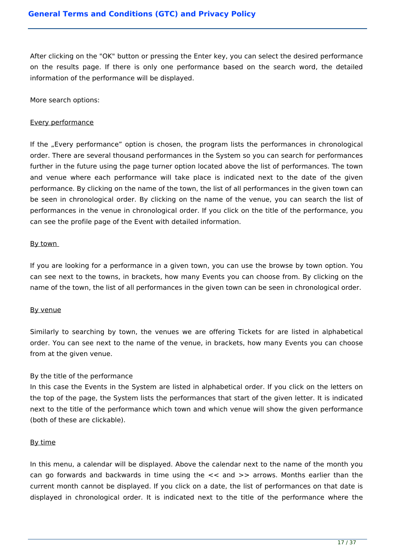After clicking on the "OK" button or pressing the Enter key, you can select the desired performance on the results page. If there is only one performance based on the search word, the detailed information of the performance will be displayed.

More search options:

### Every performance

If the "Every performance" option is chosen, the program lists the performances in chronological order. There are several thousand performances in the System so you can search for performances further in the future using the page turner option located above the list of performances. The town and venue where each performance will take place is indicated next to the date of the given performance. By clicking on the name of the town, the list of all performances in the given town can be seen in chronological order. By clicking on the name of the venue, you can search the list of performances in the venue in chronological order. If you click on the title of the performance, you can see the profile page of the Event with detailed information.

### By town

If you are looking for a performance in a given town, you can use the browse by town option. You can see next to the towns, in brackets, how many Events you can choose from. By clicking on the name of the town, the list of all performances in the given town can be seen in chronological order.

### By venue

Similarly to searching by town, the venues we are offering Tickets for are listed in alphabetical order. You can see next to the name of the venue, in brackets, how many Events you can choose from at the given venue.

### By the title of the performance

In this case the Events in the System are listed in alphabetical order. If you click on the letters on the top of the page, the System lists the performances that start of the given letter. It is indicated next to the title of the performance which town and which venue will show the given performance (both of these are clickable).

### By time

In this menu, a calendar will be displayed. Above the calendar next to the name of the month you can go forwards and backwards in time using the  $\lt$  and  $\gt$  arrows. Months earlier than the current month cannot be displayed. If you click on a date, the list of performances on that date is displayed in chronological order. It is indicated next to the title of the performance where the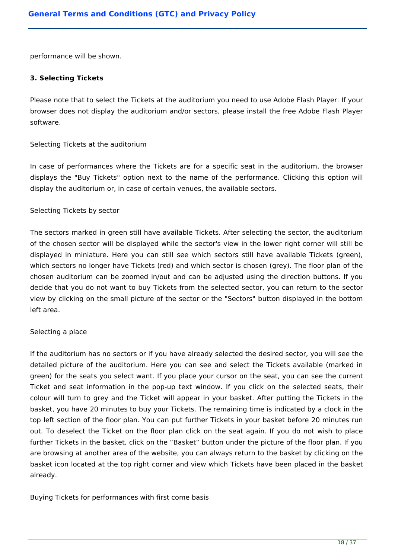performance will be shown.

#### **3. Selecting Tickets**

Please note that to select the Tickets at the auditorium you need to use Adobe Flash Player. If your browser does not display the auditorium and/or sectors, please install the free Adobe Flash Player software.

### Selecting Tickets at the auditorium

In case of performances where the Tickets are for a specific seat in the auditorium, the browser displays the "Buy Tickets" option next to the name of the performance. Clicking this option will display the auditorium or, in case of certain venues, the available sectors.

#### Selecting Tickets by sector

The sectors marked in green still have available Tickets. After selecting the sector, the auditorium of the chosen sector will be displayed while the sector's view in the lower right corner will still be displayed in miniature. Here you can still see which sectors still have available Tickets (green), which sectors no longer have Tickets (red) and which sector is chosen (grey). The floor plan of the chosen auditorium can be zoomed in/out and can be adjusted using the direction buttons. If you decide that you do not want to buy Tickets from the selected sector, you can return to the sector view by clicking on the small picture of the sector or the "Sectors" button displayed in the bottom left area.

### Selecting a place

If the auditorium has no sectors or if you have already selected the desired sector, you will see the detailed picture of the auditorium. Here you can see and select the Tickets available (marked in green) for the seats you select want. If you place your cursor on the seat, you can see the current Ticket and seat information in the pop-up text window. If you click on the selected seats, their colour will turn to grey and the Ticket will appear in your basket. After putting the Tickets in the basket, you have 20 minutes to buy your Tickets. The remaining time is indicated by a clock in the top left section of the floor plan. You can put further Tickets in your basket before 20 minutes run out. To deselect the Ticket on the floor plan click on the seat again. If you do not wish to place further Tickets in the basket, click on the "Basket" button under the picture of the floor plan. If you are browsing at another area of the website, you can always return to the basket by clicking on the basket icon located at the top right corner and view which Tickets have been placed in the basket already.

Buying Tickets for performances with first come basis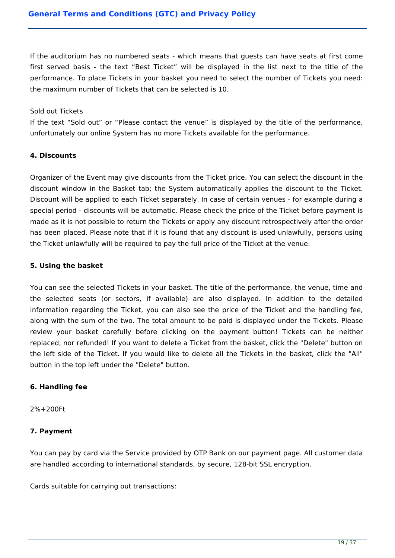If the auditorium has no numbered seats - which means that guests can have seats at first come first served basis - the text "Best Ticket" will be displayed in the list next to the title of the performance. To place Tickets in your basket you need to select the number of Tickets you need: the maximum number of Tickets that can be selected is 10.

#### Sold out Tickets

If the text "Sold out" or "Please contact the venue" is displayed by the title of the performance, unfortunately our online System has no more Tickets available for the performance.

### **4. Discounts**

Organizer of the Event may give discounts from the Ticket price. You can select the discount in the discount window in the Basket tab; the System automatically applies the discount to the Ticket. Discount will be applied to each Ticket separately. In case of certain venues - for example during a special period - discounts will be automatic. Please check the price of the Ticket before payment is made as it is not possible to return the Tickets or apply any discount retrospectively after the order has been placed. Please note that if it is found that any discount is used unlawfully, persons using the Ticket unlawfully will be required to pay the full price of the Ticket at the venue.

### **5. Using the basket**

You can see the selected Tickets in your basket. The title of the performance, the venue, time and the selected seats (or sectors, if available) are also displayed. In addition to the detailed information regarding the Ticket, you can also see the price of the Ticket and the handling fee, along with the sum of the two. The total amount to be paid is displayed under the Tickets. Please review your basket carefully before clicking on the payment button! Tickets can be neither replaced, nor refunded! If you want to delete a Ticket from the basket, click the "Delete" button on the left side of the Ticket. If you would like to delete all the Tickets in the basket, click the "All" button in the top left under the "Delete" button.

### **6. Handling fee**

2%+200Ft

### **7. Payment**

You can pay by card via the Service provided by OTP Bank on our payment page. All customer data are handled according to international standards, by secure, 128-bit SSL encryption.

Cards suitable for carrying out transactions: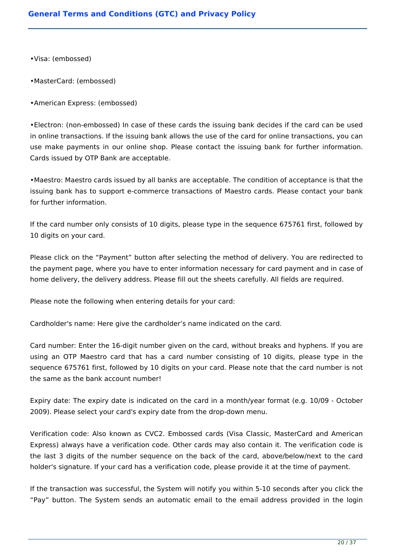- •Visa: (embossed)
- •MasterCard: (embossed)
- •American Express: (embossed)

•Electron: (non-embossed) In case of these cards the issuing bank decides if the card can be used in online transactions. If the issuing bank allows the use of the card for online transactions, you can use make payments in our online shop. Please contact the issuing bank for further information. Cards issued by OTP Bank are acceptable.

•Maestro: Maestro cards issued by all banks are acceptable. The condition of acceptance is that the issuing bank has to support e-commerce transactions of Maestro cards. Please contact your bank for further information.

If the card number only consists of 10 digits, please type in the sequence 675761 first, followed by 10 digits on your card.

Please click on the "Payment" button after selecting the method of delivery. You are redirected to the payment page, where you have to enter information necessary for card payment and in case of home delivery, the delivery address. Please fill out the sheets carefully. All fields are required.

Please note the following when entering details for your card:

Cardholder's name: Here give the cardholder's name indicated on the card.

Card number: Enter the 16-digit number given on the card, without breaks and hyphens. If you are using an OTP Maestro card that has a card number consisting of 10 digits, please type in the sequence 675761 first, followed by 10 digits on your card. Please note that the card number is not the same as the bank account number!

Expiry date: The expiry date is indicated on the card in a month/year format (e.g. 10/09 - October 2009). Please select your card's expiry date from the drop-down menu.

Verification code: Also known as CVC2. Embossed cards (Visa Classic, MasterCard and American Express) always have a verification code. Other cards may also contain it. The verification code is the last 3 digits of the number sequence on the back of the card, above/below/next to the card holder's signature. If your card has a verification code, please provide it at the time of payment.

If the transaction was successful, the System will notify you within 5-10 seconds after you click the "Pay" button. The System sends an automatic email to the email address provided in the login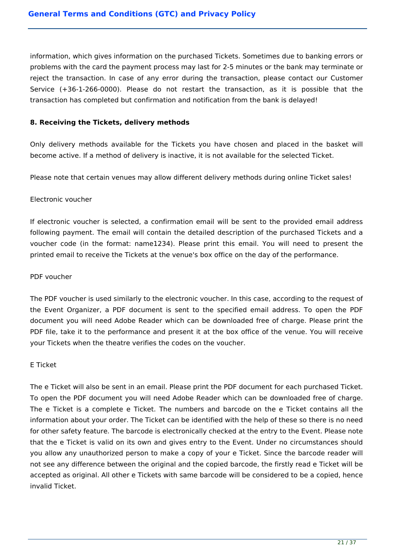information, which gives information on the purchased Tickets. Sometimes due to banking errors or problems with the card the payment process may last for 2-5 minutes or the bank may terminate or reject the transaction. In case of any error during the transaction, please contact our Customer Service (+36-1-266-0000). Please do not restart the transaction, as it is possible that the transaction has completed but confirmation and notification from the bank is delayed!

## **8. Receiving the Tickets, delivery methods**

Only delivery methods available for the Tickets you have chosen and placed in the basket will become active. If a method of delivery is inactive, it is not available for the selected Ticket.

Please note that certain venues may allow different delivery methods during online Ticket sales!

### Electronic voucher

If electronic voucher is selected, a confirmation email will be sent to the provided email address following payment. The email will contain the detailed description of the purchased Tickets and a voucher code (in the format: name1234). Please print this email. You will need to present the printed email to receive the Tickets at the venue's box office on the day of the performance.

### PDF voucher

The PDF voucher is used similarly to the electronic voucher. In this case, according to the request of the Event Organizer, a PDF document is sent to the specified email address. To open the PDF document you will need Adobe Reader which can be downloaded free of charge. Please print the PDF file, take it to the performance and present it at the box office of the venue. You will receive your Tickets when the theatre verifies the codes on the voucher.

### E Ticket

The e Ticket will also be sent in an email. Please print the PDF document for each purchased Ticket. To open the PDF document you will need Adobe Reader which can be downloaded free of charge. The e Ticket is a complete e Ticket. The numbers and barcode on the e Ticket contains all the information about your order. The Ticket can be identified with the help of these so there is no need for other safety feature. The barcode is electronically checked at the entry to the Event. Please note that the e Ticket is valid on its own and gives entry to the Event. Under no circumstances should you allow any unauthorized person to make a copy of your e Ticket. Since the barcode reader will not see any difference between the original and the copied barcode, the firstly read e Ticket will be accepted as original. All other e Tickets with same barcode will be considered to be a copied, hence invalid Ticket.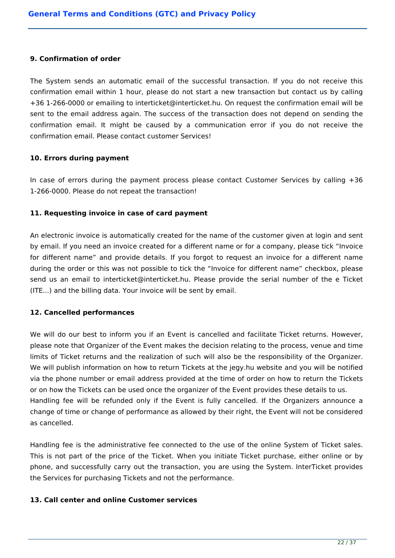#### **9. Confirmation of order**

The System sends an automatic email of the successful transaction. If you do not receive this confirmation email within 1 hour, please do not start a new transaction but contact us by calling +36 1-266-0000 or emailing to interticket@interticket.hu. On request the confirmation email will be sent to the email address again. The success of the transaction does not depend on sending the confirmation email. It might be caused by a communication error if you do not receive the confirmation email. Please contact customer Services!

### **10. Errors during payment**

In case of errors during the payment process please contact Customer Services by calling  $+36$ 1-266-0000. Please do not repeat the transaction!

### **11. Requesting invoice in case of card payment**

An electronic invoice is automatically created for the name of the customer given at login and sent by email. If you need an invoice created for a different name or for a company, please tick "Invoice for different name" and provide details. If you forgot to request an invoice for a different name during the order or this was not possible to tick the "Invoice for different name" checkbox, please send us an email to interticket@interticket.hu. Please provide the serial number of the e Ticket (ITE...) and the billing data. Your invoice will be sent by email.

### **12. Cancelled performances**

We will do our best to inform you if an Event is cancelled and facilitate Ticket returns. However, please note that Organizer of the Event makes the decision relating to the process, venue and time limits of Ticket returns and the realization of such will also be the responsibility of the Organizer. We will publish information on how to return Tickets at the jegy.hu website and you will be notified via the phone number or email address provided at the time of order on how to return the Tickets or on how the Tickets can be used once the organizer of the Event provides these details to us. Handling fee will be refunded only if the Event is fully cancelled. If the Organizers announce a change of time or change of performance as allowed by their right, the Event will not be considered as cancelled.

Handling fee is the administrative fee connected to the use of the online System of Ticket sales. This is not part of the price of the Ticket. When you initiate Ticket purchase, either online or by phone, and successfully carry out the transaction, you are using the System. InterTicket provides the Services for purchasing Tickets and not the performance.

#### **13. Call center and online Customer services**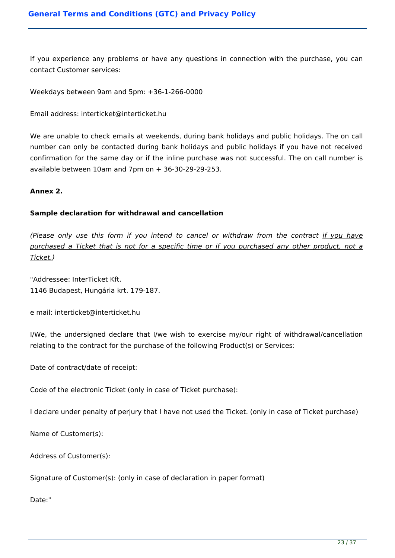If you experience any problems or have any questions in connection with the purchase, you can contact Customer services:

Weekdays between 9am and 5pm: +36-1-266-0000

Email address: interticket@interticket.hu

We are unable to check emails at weekends, during bank holidays and public holidays. The on call number can only be contacted during bank holidays and public holidays if you have not received confirmation for the same day or if the inline purchase was not successful. The on call number is available between  $10$ am and  $7$ pm on  $+36-30-29-29-253$ .

#### **Annex 2.**

### **Sample declaration for withdrawal and cancellation**

*(Please only use this form if you intend to cancel or withdraw from the contract if you have purchased a Ticket that is not for a specific time or if you purchased any other product, not a Ticket.)*

"Addressee: InterTicket Kft. 1146 Budapest, Hungária krt. 179-187.

e mail: interticket@interticket.hu

I/We, the undersigned declare that I/we wish to exercise my/our right of withdrawal/cancellation relating to the contract for the purchase of the following Product(s) or Services:

Date of contract/date of receipt:

Code of the electronic Ticket (only in case of Ticket purchase):

I declare under penalty of perjury that I have not used the Ticket. (only in case of Ticket purchase)

Name of Customer(s):

Address of Customer(s):

Signature of Customer(s): (only in case of declaration in paper format)

Date:"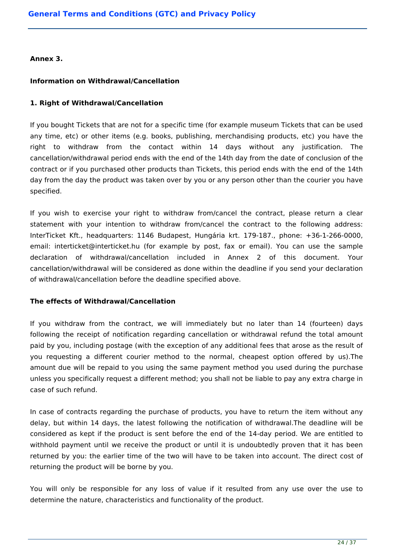**Annex 3.** 

## **Information on Withdrawal/Cancellation**

## **1. Right of Withdrawal/Cancellation**

If you bought Tickets that are not for a specific time (for example museum Tickets that can be used any time, etc) or other items (e.g. books, publishing, merchandising products, etc) you have the right to withdraw from the contact within 14 days without any justification. The cancellation/withdrawal period ends with the end of the 14th day from the date of conclusion of the contract or if you purchased other products than Tickets, this period ends with the end of the 14th day from the day the product was taken over by you or any person other than the courier you have specified.

If you wish to exercise your right to withdraw from/cancel the contract, please return a clear statement with your intention to withdraw from/cancel the contract to the following address: InterTicket Kft., headquarters: 1146 Budapest, Hungária krt. 179-187., phone: +36-1-266-0000, email: interticket@interticket.hu (for example by post, fax or email). You can use the sample declaration of withdrawal/cancellation included in Annex 2 of this document. Your cancellation/withdrawal will be considered as done within the deadline if you send your declaration of withdrawal/cancellation before the deadline specified above.

### **The effects of Withdrawal/Cancellation**

If you withdraw from the contract, we will immediately but no later than 14 (fourteen) days following the receipt of notification regarding cancellation or withdrawal refund the total amount paid by you, including postage (with the exception of any additional fees that arose as the result of you requesting a different courier method to the normal, cheapest option offered by us).The amount due will be repaid to you using the same payment method you used during the purchase unless you specifically request a different method; you shall not be liable to pay any extra charge in case of such refund.

In case of contracts regarding the purchase of products, you have to return the item without any delay, but within 14 days, the latest following the notification of withdrawal.The deadline will be considered as kept if the product is sent before the end of the 14-day period. We are entitled to withhold payment until we receive the product or until it is undoubtedly proven that it has been returned by you: the earlier time of the two will have to be taken into account. The direct cost of returning the product will be borne by you.

You will only be responsible for any loss of value if it resulted from any use over the use to determine the nature, characteristics and functionality of the product.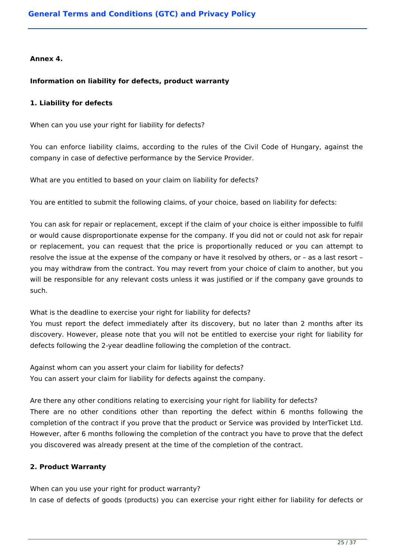### **Annex 4.**

## **Information on liability for defects, product warranty**

### **1. Liability for defects**

When can you use your right for liability for defects?

You can enforce liability claims, according to the rules of the Civil Code of Hungary, against the company in case of defective performance by the Service Provider.

What are you entitled to based on your claim on liability for defects?

You are entitled to submit the following claims, of your choice, based on liability for defects:

You can ask for repair or replacement, except if the claim of your choice is either impossible to fulfil or would cause disproportionate expense for the company. If you did not or could not ask for repair or replacement, you can request that the price is proportionally reduced or you can attempt to resolve the issue at the expense of the company or have it resolved by others, or – as a last resort – you may withdraw from the contract. You may revert from your choice of claim to another, but you will be responsible for any relevant costs unless it was justified or if the company gave grounds to such.

What is the deadline to exercise your right for liability for defects?

You must report the defect immediately after its discovery, but no later than 2 months after its discovery. However, please note that you will not be entitled to exercise your right for liability for defects following the 2-year deadline following the completion of the contract.

Against whom can you assert your claim for liability for defects? You can assert your claim for liability for defects against the company.

Are there any other conditions relating to exercising your right for liability for defects?

There are no other conditions other than reporting the defect within 6 months following the completion of the contract if you prove that the product or Service was provided by InterTicket Ltd. However, after 6 months following the completion of the contract you have to prove that the defect you discovered was already present at the time of the completion of the contract.

# **2. Product Warranty**

When can you use your right for product warranty? In case of defects of goods (products) you can exercise your right either for liability for defects or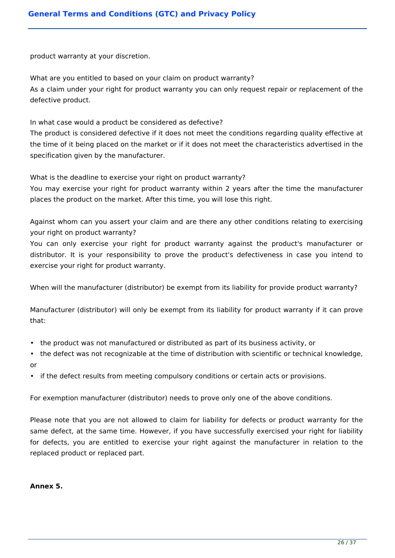product warranty at your discretion.

What are you entitled to based on your claim on product warranty? As a claim under your right for product warranty you can only request repair or replacement of the defective product.

In what case would a product be considered as defective?

The product is considered defective if it does not meet the conditions regarding quality effective at the time of it being placed on the market or if it does not meet the characteristics advertised in the specification given by the manufacturer.

What is the deadline to exercise your right on product warranty?

You may exercise your right for product warranty within 2 years after the time the manufacturer places the product on the market. After this time, you will lose this right.

Against whom can you assert your claim and are there any other conditions relating to exercising your right on product warranty?

You can only exercise your right for product warranty against the product's manufacturer or distributor. It is your responsibility to prove the product's defectiveness in case you intend to exercise your right for product warranty.

When will the manufacturer (distributor) be exempt from its liability for provide product warranty?

Manufacturer (distributor) will only be exempt from its liability for product warranty if it can prove that:

- the product was not manufactured or distributed as part of its business activity, or
- the defect was not recognizable at the time of distribution with scientific or technical knowledge, or
- if the defect results from meeting compulsory conditions or certain acts or provisions.

For exemption manufacturer (distributor) needs to prove only one of the above conditions.

Please note that you are not allowed to claim for liability for defects or product warranty for the same defect, at the same time. However, if you have successfully exercised your right for liability for defects, you are entitled to exercise your right against the manufacturer in relation to the replaced product or replaced part.

#### **Annex 5.**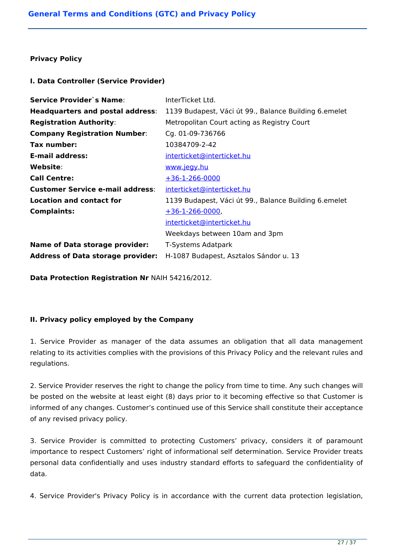### **Privacy Policy**

## **I. Data Controller (Service Provider)**

| <b>Service Provider's Name:</b>          | InterTicket Ltd.                                      |
|------------------------------------------|-------------------------------------------------------|
| <b>Headquarters and postal address:</b>  | 1139 Budapest, Váci út 99., Balance Building 6.emelet |
| <b>Registration Authority:</b>           | Metropolitan Court acting as Registry Court           |
| <b>Company Registration Number:</b>      | Cg. 01-09-736766                                      |
| Tax number:                              | 10384709-2-42                                         |
| <b>E-mail address:</b>                   | interticket@interticket.hu                            |
| Website:                                 | www.jegy.hu                                           |
| <b>Call Centre:</b>                      | $+36-1-266-0000$                                      |
| <b>Customer Service e-mail address:</b>  | interticket@interticket.hu                            |
| Location and contact for                 | 1139 Budapest, Váci út 99., Balance Building 6.emelet |
| <b>Complaints:</b>                       | $+36-1-266-0000$                                      |
|                                          | interticket@interticket.hu                            |
|                                          | Weekdays between 10am and 3pm                         |
| <b>Name of Data storage provider:</b>    | T-Systems Adatpark                                    |
| <b>Address of Data storage provider:</b> | H-1087 Budapest, Asztalos Sándor u. 13                |

**Data Protection Registration Nr** NAIH 54216/2012.

# **II. Privacy policy employed by the Company**

1. Service Provider as manager of the data assumes an obligation that all data management relating to its activities complies with the provisions of this Privacy Policy and the relevant rules and regulations.

2. Service Provider reserves the right to change the policy from time to time. Any such changes will be posted on the website at least eight (8) days prior to it becoming effective so that Customer is informed of any changes. Customer's continued use of this Service shall constitute their acceptance of any revised privacy policy.

3. Service Provider is committed to protecting Customers' privacy, considers it of paramount importance to respect Customers' right of informational self determination. Service Provider treats personal data confidentially and uses industry standard efforts to safeguard the confidentiality of data.

4. Service Provider's Privacy Policy is in accordance with the current data protection legislation,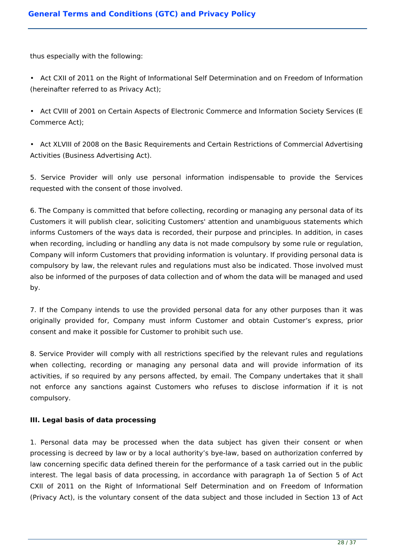thus especially with the following:

• Act CXII of 2011 on the Right of Informational Self Determination and on Freedom of Information (hereinafter referred to as Privacy Act);

• Act CVIII of 2001 on Certain Aspects of Electronic Commerce and Information Society Services (E Commerce Act);

• Act XLVIII of 2008 on the Basic Requirements and Certain Restrictions of Commercial Advertising Activities (Business Advertising Act).

5. Service Provider will only use personal information indispensable to provide the Services requested with the consent of those involved.

6. The Company is committed that before collecting, recording or managing any personal data of its Customers it will publish clear, soliciting Customers' attention and unambiguous statements which informs Customers of the ways data is recorded, their purpose and principles. In addition, in cases when recording, including or handling any data is not made compulsory by some rule or regulation, Company will inform Customers that providing information is voluntary. If providing personal data is compulsory by law, the relevant rules and regulations must also be indicated. Those involved must also be informed of the purposes of data collection and of whom the data will be managed and used by.

7. If the Company intends to use the provided personal data for any other purposes than it was originally provided for, Company must inform Customer and obtain Customer's express, prior consent and make it possible for Customer to prohibit such use.

8. Service Provider will comply with all restrictions specified by the relevant rules and regulations when collecting, recording or managing any personal data and will provide information of its activities, if so required by any persons affected, by email. The Company undertakes that it shall not enforce any sanctions against Customers who refuses to disclose information if it is not compulsory.

# **III. Legal basis of data processing**

1. Personal data may be processed when the data subject has given their consent or when processing is decreed by law or by a local authority's bye-law, based on authorization conferred by law concerning specific data defined therein for the performance of a task carried out in the public interest. The legal basis of data processing, in accordance with paragraph 1a of Section 5 of Act CXII of 2011 on the Right of Informational Self Determination and on Freedom of Information (Privacy Act), is the voluntary consent of the data subject and those included in Section 13 of Act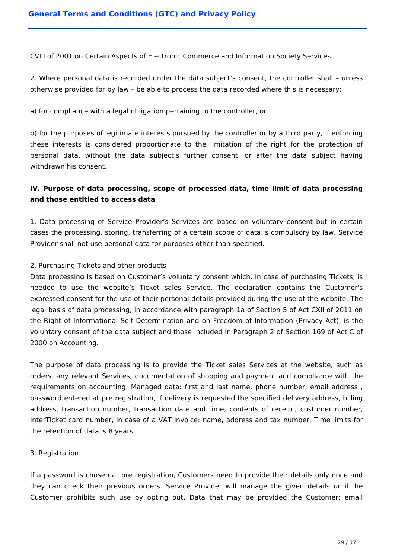CVIII of 2001 on Certain Aspects of Electronic Commerce and Information Society Services.

2. Where personal data is recorded under the data subject's consent, the controller shall – unless otherwise provided for by law – be able to process the data recorded where this is necessary:

a) for compliance with a legal obligation pertaining to the controller, or

b) for the purposes of legitimate interests pursued by the controller or by a third party, if enforcing these interests is considered proportionate to the limitation of the right for the protection of personal data, without the data subject's further consent, or after the data subject having withdrawn his consent.

# **IV. Purpose of data processing, scope of processed data, time limit of data processing and those entitled to access data**

1. Data processing of Service Provider's Services are based on voluntary consent but in certain cases the processing, storing, transferring of a certain scope of data is compulsory by law. Service Provider shall not use personal data for purposes other than specified.

## 2. Purchasing Tickets and other products

Data processing is based on Customer's voluntary consent which, in case of purchasing Tickets, is needed to use the website's Ticket sales Service. The declaration contains the Customer's expressed consent for the use of their personal details provided during the use of the website. The legal basis of data processing, in accordance with paragraph 1a of Section 5 of Act CXII of 2011 on the Right of Informational Self Determination and on Freedom of Information (Privacy Act), is the voluntary consent of the data subject and those included in Paragraph 2 of Section 169 of Act C of 2000 on Accounting.

The purpose of data processing is to provide the Ticket sales Services at the website, such as orders, any relevant Services, documentation of shopping and payment and compliance with the requirements on accounting. Managed data: first and last name, phone number, email address , password entered at pre registration, if delivery is requested the specified delivery address, billing address, transaction number, transaction date and time, contents of receipt, customer number, InterTicket card number, in case of a VAT invoice: name, address and tax number. Time limits for the retention of data is 8 years.

### 3. Registration

If a password is chosen at pre registration, Customers need to provide their details only once and they can check their previous orders. Service Provider will manage the given details until the Customer prohibits such use by opting out. Data that may be provided the Customer: email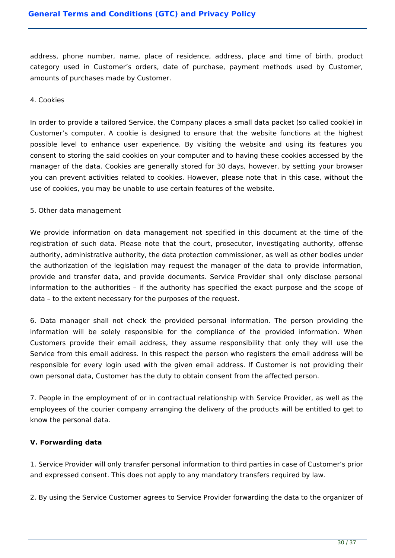address, phone number, name, place of residence, address, place and time of birth, product category used in Customer's orders, date of purchase, payment methods used by Customer, amounts of purchases made by Customer.

#### 4. Cookies

In order to provide a tailored Service, the Company places a small data packet (so called cookie) in Customer's computer. A cookie is designed to ensure that the website functions at the highest possible level to enhance user experience. By visiting the website and using its features you consent to storing the said cookies on your computer and to having these cookies accessed by the manager of the data. Cookies are generally stored for 30 days, however, by setting your browser you can prevent activities related to cookies. However, please note that in this case, without the use of cookies, you may be unable to use certain features of the website.

#### 5. Other data management

We provide information on data management not specified in this document at the time of the registration of such data. Please note that the court, prosecutor, investigating authority, offense authority, administrative authority, the data protection commissioner, as well as other bodies under the authorization of the legislation may request the manager of the data to provide information, provide and transfer data, and provide documents. Service Provider shall only disclose personal information to the authorities – if the authority has specified the exact purpose and the scope of data – to the extent necessary for the purposes of the request.

6. Data manager shall not check the provided personal information. The person providing the information will be solely responsible for the compliance of the provided information. When Customers provide their email address, they assume responsibility that only they will use the Service from this email address. In this respect the person who registers the email address will be responsible for every login used with the given email address. If Customer is not providing their own personal data, Customer has the duty to obtain consent from the affected person.

7. People in the employment of or in contractual relationship with Service Provider, as well as the employees of the courier company arranging the delivery of the products will be entitled to get to know the personal data.

### **V. Forwarding data**

1. Service Provider will only transfer personal information to third parties in case of Customer's prior and expressed consent. This does not apply to any mandatory transfers required by law.

2. By using the Service Customer agrees to Service Provider forwarding the data to the organizer of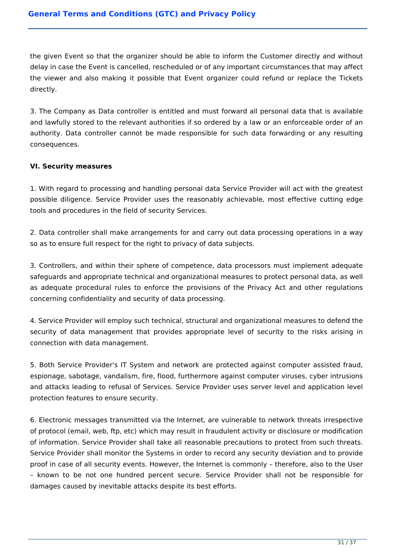the given Event so that the organizer should be able to inform the Customer directly and without delay in case the Event is cancelled, rescheduled or of any important circumstances that may affect the viewer and also making it possible that Event organizer could refund or replace the Tickets directly.

3. The Company as Data controller is entitled and must forward all personal data that is available and lawfully stored to the relevant authorities if so ordered by a law or an enforceable order of an authority. Data controller cannot be made responsible for such data forwarding or any resulting consequences.

## **VI. Security measures**

1. With regard to processing and handling personal data Service Provider will act with the greatest possible diligence. Service Provider uses the reasonably achievable, most effective cutting edge tools and procedures in the field of security Services.

2. Data controller shall make arrangements for and carry out data processing operations in a way so as to ensure full respect for the right to privacy of data subjects.

3. Controllers, and within their sphere of competence, data processors must implement adequate safeguards and appropriate technical and organizational measures to protect personal data, as well as adequate procedural rules to enforce the provisions of the Privacy Act and other regulations concerning confidentiality and security of data processing.

4. Service Provider will employ such technical, structural and organizational measures to defend the security of data management that provides appropriate level of security to the risks arising in connection with data management.

5. Both Service Provider's IT System and network are protected against computer assisted fraud, espionage, sabotage, vandalism, fire, flood, furthermore against computer viruses, cyber intrusions and attacks leading to refusal of Services. Service Provider uses server level and application level protection features to ensure security.

6. Electronic messages transmitted via the Internet, are vulnerable to network threats irrespective of protocol (email, web, ftp, etc) which may result in fraudulent activity or disclosure or modification of information. Service Provider shall take all reasonable precautions to protect from such threats. Service Provider shall monitor the Systems in order to record any security deviation and to provide proof in case of all security events. However, the Internet is commonly – therefore, also to the User – known to be not one hundred percent secure. Service Provider shall not be responsible for damages caused by inevitable attacks despite its best efforts.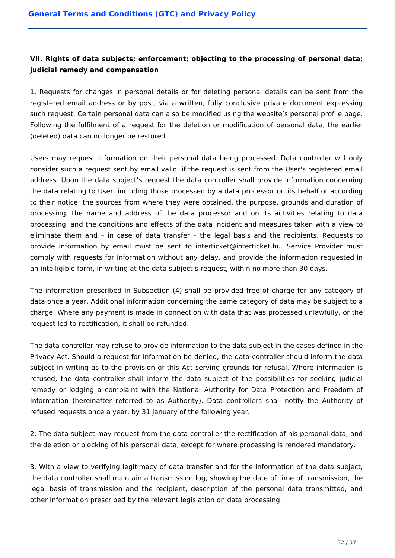# **VII. Rights of data subjects; enforcement; objecting to the processing of personal data; judicial remedy and compensation**

1. Requests for changes in personal details or for deleting personal details can be sent from the registered email address or by post, via a written, fully conclusive private document expressing such request. Certain personal data can also be modified using the website's personal profile page. Following the fulfilment of a request for the deletion or modification of personal data, the earlier (deleted) data can no longer be restored.

Users may request information on their personal data being processed. Data controller will only consider such a request sent by email valid, if the request is sent from the User's registered email address. Upon the data subject's request the data controller shall provide information concerning the data relating to User, including those processed by a data processor on its behalf or according to their notice, the sources from where they were obtained, the purpose, grounds and duration of processing, the name and address of the data processor and on its activities relating to data processing, and the conditions and effects of the data incident and measures taken with a view to eliminate them and – in case of data transfer – the legal basis and the recipients. Requests to provide information by email must be sent to interticket@interticket.hu. Service Provider must comply with requests for information without any delay, and provide the information requested in an intelligible form, in writing at the data subject's request, within no more than 30 days.

The information prescribed in Subsection (4) shall be provided free of charge for any category of data once a year. Additional information concerning the same category of data may be subject to a charge. Where any payment is made in connection with data that was processed unlawfully, or the request led to rectification, it shall be refunded.

The data controller may refuse to provide information to the data subject in the cases defined in the Privacy Act. Should a request for information be denied, the data controller should inform the data subject in writing as to the provision of this Act serving grounds for refusal. Where information is refused, the data controller shall inform the data subject of the possibilities for seeking judicial remedy or lodging a complaint with the National Authority for Data Protection and Freedom of Information (hereinafter referred to as Authority). Data controllers shall notify the Authority of refused requests once a year, by 31 January of the following year.

2. The data subject may request from the data controller the rectification of his personal data, and the deletion or blocking of his personal data, except for where processing is rendered mandatory.

3. With a view to verifying legitimacy of data transfer and for the information of the data subject, the data controller shall maintain a transmission log, showing the date of time of transmission, the legal basis of transmission and the recipient, description of the personal data transmitted, and other information prescribed by the relevant legislation on data processing.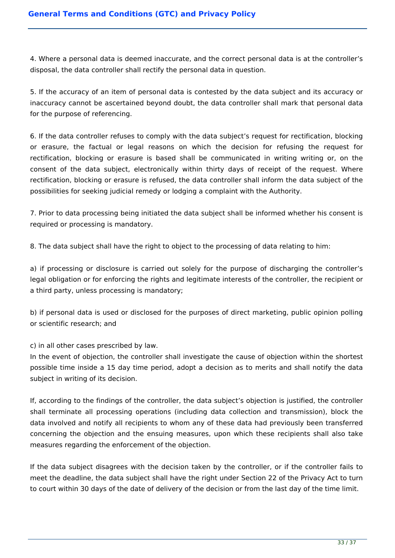4. Where a personal data is deemed inaccurate, and the correct personal data is at the controller's disposal, the data controller shall rectify the personal data in question.

5. If the accuracy of an item of personal data is contested by the data subject and its accuracy or inaccuracy cannot be ascertained beyond doubt, the data controller shall mark that personal data for the purpose of referencing.

6. If the data controller refuses to comply with the data subject's request for rectification, blocking or erasure, the factual or legal reasons on which the decision for refusing the request for rectification, blocking or erasure is based shall be communicated in writing writing or, on the consent of the data subject, electronically within thirty days of receipt of the request. Where rectification, blocking or erasure is refused, the data controller shall inform the data subject of the possibilities for seeking judicial remedy or lodging a complaint with the Authority.

7. Prior to data processing being initiated the data subject shall be informed whether his consent is required or processing is mandatory.

8. The data subject shall have the right to object to the processing of data relating to him:

a) if processing or disclosure is carried out solely for the purpose of discharging the controller's legal obligation or for enforcing the rights and legitimate interests of the controller, the recipient or a third party, unless processing is mandatory;

b) if personal data is used or disclosed for the purposes of direct marketing, public opinion polling or scientific research; and

c) in all other cases prescribed by law.

In the event of objection, the controller shall investigate the cause of objection within the shortest possible time inside a 15 day time period, adopt a decision as to merits and shall notify the data subject in writing of its decision.

If, according to the findings of the controller, the data subject's objection is justified, the controller shall terminate all processing operations (including data collection and transmission), block the data involved and notify all recipients to whom any of these data had previously been transferred concerning the objection and the ensuing measures, upon which these recipients shall also take measures regarding the enforcement of the objection.

If the data subject disagrees with the decision taken by the controller, or if the controller fails to meet the deadline, the data subject shall have the right under Section 22 of the Privacy Act to turn to court within 30 days of the date of delivery of the decision or from the last day of the time limit.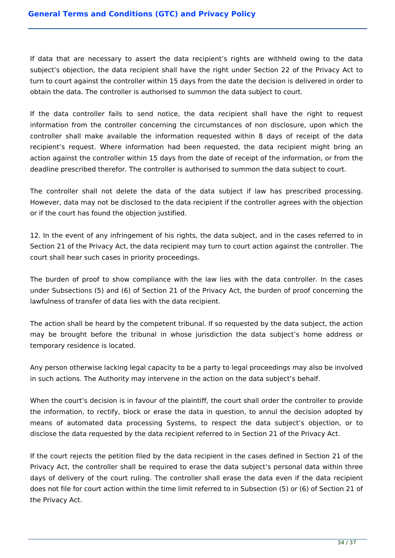If data that are necessary to assert the data recipient's rights are withheld owing to the data subject's objection, the data recipient shall have the right under Section 22 of the Privacy Act to turn to court against the controller within 15 days from the date the decision is delivered in order to obtain the data. The controller is authorised to summon the data subject to court.

If the data controller fails to send notice, the data recipient shall have the right to request information from the controller concerning the circumstances of non disclosure, upon which the controller shall make available the information requested within 8 days of receipt of the data recipient's request. Where information had been requested, the data recipient might bring an action against the controller within 15 days from the date of receipt of the information, or from the deadline prescribed therefor. The controller is authorised to summon the data subject to court.

The controller shall not delete the data of the data subject if law has prescribed processing. However, data may not be disclosed to the data recipient if the controller agrees with the objection or if the court has found the objection justified.

12. In the event of any infringement of his rights, the data subject, and in the cases referred to in Section 21 of the Privacy Act, the data recipient may turn to court action against the controller. The court shall hear such cases in priority proceedings.

The burden of proof to show compliance with the law lies with the data controller. In the cases under Subsections (5) and (6) of Section 21 of the Privacy Act, the burden of proof concerning the lawfulness of transfer of data lies with the data recipient.

The action shall be heard by the competent tribunal. If so requested by the data subject, the action may be brought before the tribunal in whose jurisdiction the data subject's home address or temporary residence is located.

Any person otherwise lacking legal capacity to be a party to legal proceedings may also be involved in such actions. The Authority may intervene in the action on the data subject's behalf.

When the court's decision is in favour of the plaintiff, the court shall order the controller to provide the information, to rectify, block or erase the data in question, to annul the decision adopted by means of automated data processing Systems, to respect the data subject's objection, or to disclose the data requested by the data recipient referred to in Section 21 of the Privacy Act.

If the court rejects the petition filed by the data recipient in the cases defined in Section 21 of the Privacy Act, the controller shall be required to erase the data subject's personal data within three days of delivery of the court ruling. The controller shall erase the data even if the data recipient does not file for court action within the time limit referred to in Subsection (5) or (6) of Section 21 of the Privacy Act.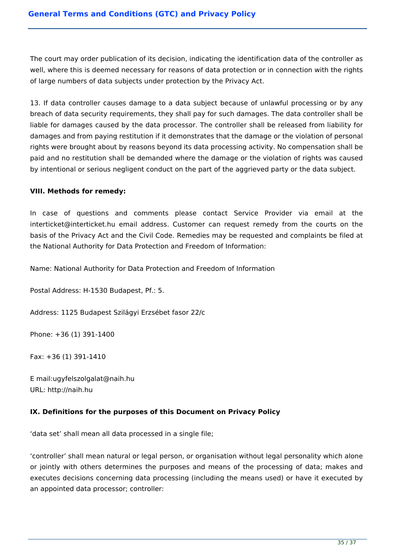The court may order publication of its decision, indicating the identification data of the controller as well, where this is deemed necessary for reasons of data protection or in connection with the rights of large numbers of data subjects under protection by the Privacy Act.

13. If data controller causes damage to a data subject because of unlawful processing or by any breach of data security requirements, they shall pay for such damages. The data controller shall be liable for damages caused by the data processor. The controller shall be released from liability for damages and from paying restitution if it demonstrates that the damage or the violation of personal rights were brought about by reasons beyond its data processing activity. No compensation shall be paid and no restitution shall be demanded where the damage or the violation of rights was caused by intentional or serious negligent conduct on the part of the aggrieved party or the data subject.

## **VIII. Methods for remedy:**

In case of questions and comments please contact Service Provider via email at the interticket@interticket.hu email address. Customer can request remedy from the courts on the basis of the Privacy Act and the Civil Code. Remedies may be requested and complaints be filed at the National Authority for Data Protection and Freedom of Information:

Name: National Authority for Data Protection and Freedom of Information

Postal Address: H-1530 Budapest, Pf.: 5.

Address: 1125 Budapest Szilágyi Erzsébet fasor 22/c

Phone: +36 (1) 391-1400

Fax: +36 (1) 391-1410

E mail:ugyfelszolgalat@naih.hu URL: http://naih.hu

# **IX. Definitions for the purposes of this Document on Privacy Policy**

'data set' shall mean all data processed in a single file;

'controller' shall mean natural or legal person, or organisation without legal personality which alone or jointly with others determines the purposes and means of the processing of data; makes and executes decisions concerning data processing (including the means used) or have it executed by an appointed data processor; controller: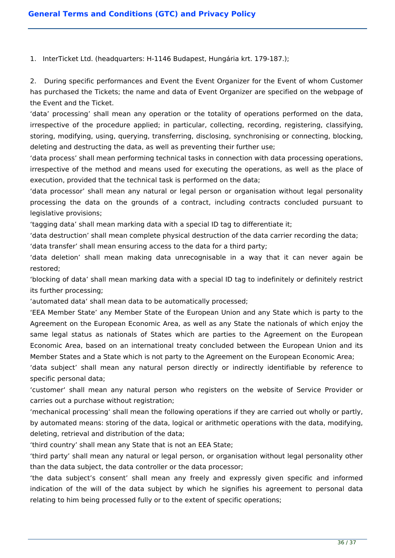1. InterTicket Ltd. (headquarters: H-1146 Budapest, Hungária krt. 179-187.);

2. During specific performances and Event the Event Organizer for the Event of whom Customer has purchased the Tickets; the name and data of Event Organizer are specified on the webpage of the Event and the Ticket.

'data' processing' shall mean any operation or the totality of operations performed on the data, irrespective of the procedure applied; in particular, collecting, recording, registering, classifying, storing, modifying, using, querying, transferring, disclosing, synchronising or connecting, blocking, deleting and destructing the data, as well as preventing their further use;

'data process' shall mean performing technical tasks in connection with data processing operations, irrespective of the method and means used for executing the operations, as well as the place of execution, provided that the technical task is performed on the data;

'data processor' shall mean any natural or legal person or organisation without legal personality processing the data on the grounds of a contract, including contracts concluded pursuant to legislative provisions;

'tagging data' shall mean marking data with a special ID tag to differentiate it;

'data destruction' shall mean complete physical destruction of the data carrier recording the data;

'data transfer' shall mean ensuring access to the data for a third party;

'data deletion' shall mean making data unrecognisable in a way that it can never again be restored;

'blocking of data' shall mean marking data with a special ID tag to indefinitely or definitely restrict its further processing;

'automated data' shall mean data to be automatically processed;

'EEA Member State' any Member State of the European Union and any State which is party to the Agreement on the European Economic Area, as well as any State the nationals of which enjoy the same legal status as nationals of States which are parties to the Agreement on the European Economic Area, based on an international treaty concluded between the European Union and its Member States and a State which is not party to the Agreement on the European Economic Area;

'data subject' shall mean any natural person directly or indirectly identifiable by reference to specific personal data;

'customer' shall mean any natural person who registers on the website of Service Provider or carries out a purchase without registration;

'mechanical processing' shall mean the following operations if they are carried out wholly or partly, by automated means: storing of the data, logical or arithmetic operations with the data, modifying, deleting, retrieval and distribution of the data;

'third country' shall mean any State that is not an EEA State;

'third party' shall mean any natural or legal person, or organisation without legal personality other than the data subject, the data controller or the data processor;

'the data subject's consent' shall mean any freely and expressly given specific and informed indication of the will of the data subject by which he signifies his agreement to personal data relating to him being processed fully or to the extent of specific operations;